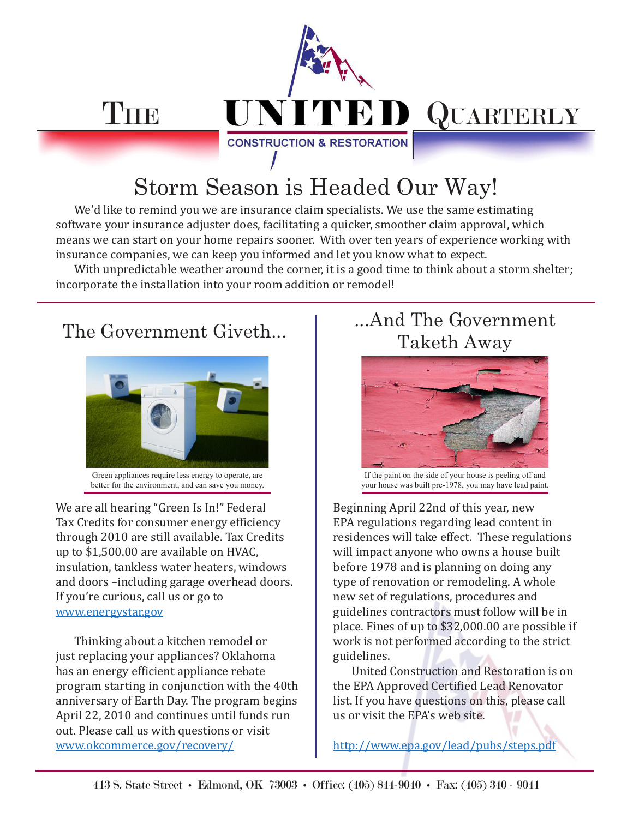

# Storm Season is Headed Our Way!

We'd like to remind you we are insurance claim specialists. We use the same estimating software your insurance adjuster does, facilitating a quicker, smoother claim approval, which means we can start on your home repairs sooner. With over ten years of experience working with insurance companies, we can keep you informed and let you know what to expect.

With unpredictable weather around the corner, it is a good time to think about a storm shelter; incorporate the installation into your room addition or remodel!



Green appliances require less energy to operate, are better for the environment, and can save you money.

We are all hearing "Green Is In!" Federal Tax Credits for consumer energy efficiency through 2010 are still available. Tax Credits up to \$1,500.00 are available on HVAC, insulation, tankless water heaters, windows and doors –including garage overhead doors. If you're curious, call us or go to www.energystar.gov

Thinking about a kitchen remodel or just replacing your appliances? Oklahoma has an energy efficient appliance rebate program starting in conjunction with the 40th anniversary of Earth Day. The program begins April 22, 2010 and continues until funds run out. Please call us with questions or visit www.okcommerce.gov/recovery/

## The Government Giveth... | ...And The Government Taketh Away



If the paint on the side of your house is peeling off and your house was built pre-1978, you may have lead paint.

Beginning April 22nd of this year, new EPA regulations regarding lead content in residences will take effect. These regulations will impact anyone who owns a house built before 1978 and is planning on doing any type of renovation or remodeling. A whole new set of regulations, procedures and guidelines contractors must follow will be in place. Fines of up to \$32,000.00 are possible if work is not performed according to the strict guidelines.

United Construction and Restoration is on the EPA Approved Certified Lead Renovator list. If you have questions on this, please call us or visit the EPA's web site.

http://www.epa.gov/lead/pubs/steps.pdf